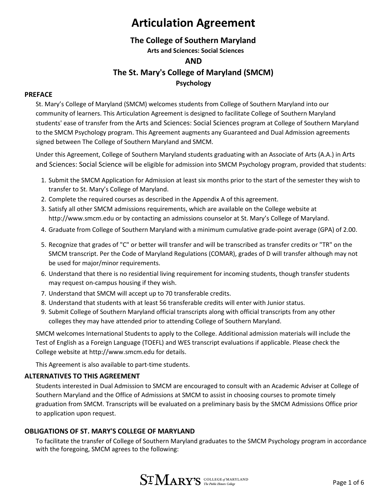### **The College of Southern Maryland**

**Arts and Sciences: Social Sciences**

#### **AND**

### **The St. Mary's College of Maryland (SMCM)**

#### **Psychology**

#### **PREFACE**

St. Mary's College of Maryland (SMCM) welcomes students from College of Southern Maryland into our community of learners. This Articulation Agreement is designed to facilitate College of Southern Maryland students' ease of transfer from the Arts and Sciences: Social Sciences program at College of Southern Maryland to the SMCM Psychology program. This Agreement augments any Guaranteed and Dual Admission agreements signed between The College of Southern Maryland and SMCM.

Under this Agreement, College of Southern Maryland students graduating with an Associate of Arts (A.A.) in Arts and Sciences: Social Science will be eligible for admission into SMCM Psychology program, provided that students:

- 1. Submit the SMCM Application for Admission at least six months prior to the start of the semester they wish to transfer to St. Mary's College of Maryland.
- 2. Complete the required courses as described in the Appendix A of this agreement.
- 3. Satisfy all other SMCM admissions requirements, which are available on the College website at [http://www.smcm.edu](http://www.smcm.edu/) or by contacting an admissions counselor at St. Mary's College of Maryland.
- 4. Graduate from College of Southern Maryland with a minimum cumulative grade-point average (GPA) of 2.00.
- 5. Recognize that grades of "C" or better will transfer and will be transcribed as transfer credits or "TR" on the SMCM transcript. Per the Code of Maryland Regulations (COMAR), grades of D will transfer although may not be used for major/minor requirements.
- 6. Understand that there is no residential living requirement for incoming students, though transfer students may request on-campus housing if they wish.
- 7. Understand that SMCM will accept up to 70 transferable credits.
- 8. Understand that students with at least 56 transferable credits will enter with Junior status.
- 9. Submit College of Southern Maryland official transcripts along with official transcripts from any other colleges they may have attended prior to attending College of Southern Maryland.

SMCM welcomes International Students to apply to the College. Additional admission materials will include the Test of English as a Foreign Language (TOEFL) and WES transcript evaluations if applicable. Please check the College website at [http://www.smcm.edu f](http://www.smcm.edu/)or details.

This Agreement is also available to part-time students.

#### **ALTERNATIVES TO THIS AGREEMENT**

Students interested in Dual Admission to SMCM are encouraged to consult with an Academic Adviser at College of Southern Maryland and the Office of Admissions at SMCM to assist in choosing courses to promote timely graduation from SMCM. Transcripts will be evaluated on a preliminary basis by the SMCM Admissions Office prior to application upon request.

#### **OBLIGATIONS OF ST. MARY'S COLLEGE OF MARYLAND**

To facilitate the transfer of College of Southern Maryland graduates to the SMCM Psychology program in accordance with the foregoing, SMCM agrees to the following:

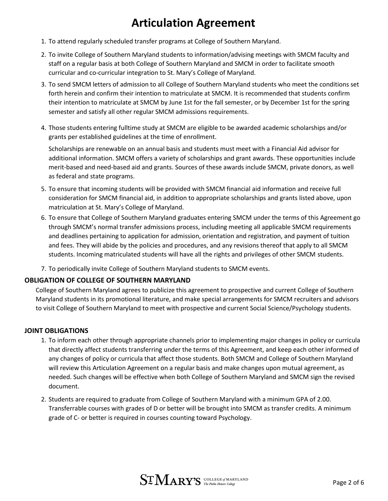- 1. To attend regularly scheduled transfer programs at College of Southern Maryland.
- 2. To invite College of Southern Maryland students to information/advising meetings with SMCM faculty and staff on a regular basis at both College of Southern Maryland and SMCM in order to facilitate smooth curricular and co-curricular integration to St. Mary's College of Maryland.
- 3. To send SMCM letters of admission to all College of Southern Maryland students who meet the conditions set forth herein and confirm their intention to matriculate at SMCM. It is recommended that students confirm their intention to matriculate at SMCM by June 1st for the fall semester, or by December 1st for the spring semester and satisfy all other regular SMCM admissions requirements.
- 4. Those students entering fulltime study at SMCM are eligible to be awarded academic scholarships and/or grants per established guidelines at the time of enrollment.

Scholarships are renewable on an annual basis and students must meet with a Financial Aid advisor for additional information. SMCM offers a variety of scholarships and grant awards. These opportunities include merit-based and need-based aid and grants. Sources of these awards include SMCM, private donors, as well as federal and state programs.

- 5. To ensure that incoming students will be provided with SMCM financial aid information and receive full consideration for SMCM financial aid, in addition to appropriate scholarships and grants listed above, upon matriculation at St. Mary's College of Maryland.
- 6. To ensure that College of Southern Maryland graduates entering SMCM under the terms of this Agreement go through SMCM's normal transfer admissions process, including meeting all applicable SMCM requirements and deadlines pertaining to application for admission, orientation and registration, and payment of tuition and fees. They will abide by the policies and procedures, and any revisions thereof that apply to all SMCM students. Incoming matriculated students will have all the rights and privileges of other SMCM students.
- 7. To periodically invite College of Southern Maryland students to SMCM events.

#### **OBLIGATION OF COLLEGE OF SOUTHERN MARYLAND**

College of Southern Maryland agrees to publicize this agreement to prospective and current College of Southern Maryland students in its promotional literature, and make special arrangements for SMCM recruiters and advisors to visit College of Southern Maryland to meet with prospective and current Social Science/Psychology students.

#### **JOINT OBLIGATIONS**

- 1. To inform each other through appropriate channels prior to implementing major changes in policy or curricula that directly affect students transferring under the terms of this Agreement, and keep each other informed of any changes of policy or curricula that affect those students. Both SMCM and College of Southern Maryland will review this Articulation Agreement on a regular basis and make changes upon mutual agreement, as needed. Such changes will be effective when both College of Southern Maryland and SMCM sign the revised document.
- 2. Students are required to graduate from College of Southern Maryland with a minimum GPA of 2.00. Transferrable courses with grades of D or better will be brought into SMCM as transfer credits. A minimum grade of C- or better is required in courses counting toward Psychology.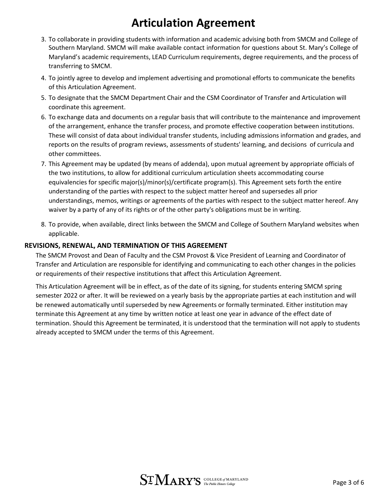- 3. To collaborate in providing students with information and academic advising both from SMCM and College of Southern Maryland. SMCM will make available contact information for questions about St. Mary's College of Maryland's academic requirements, LEAD Curriculum requirements, degree requirements, and the process of transferring to SMCM.
- 4. To jointly agree to develop and implement advertising and promotional efforts to communicate the benefits of this Articulation Agreement.
- 5. To designate that the SMCM Department Chair and the CSM Coordinator of Transfer and Articulation will coordinate this agreement.
- 6. To exchange data and documents on a regular basis that will contribute to the maintenance and improvement of the arrangement, enhance the transfer process, and promote effective cooperation between institutions. These will consist of data about individual transfer students, including admissions information and grades, and reports on the results of program reviews, assessments of students' learning, and decisions of curricula and other committees.
- 7. This Agreement may be updated (by means of addenda), upon mutual agreement by appropriate officials of the two institutions, to allow for additional curriculum articulation sheets accommodating course equivalencies for specific major(s)/minor(s)/certificate program(s). This Agreement sets forth the entire understanding of the parties with respect to the subject matter hereof and supersedes all prior understandings, memos, writings or agreements of the parties with respect to the subject matter hereof. Any waiver by a party of any of its rights or of the other party's obligations must be in writing.
- 8. To provide, when available, direct links between the SMCM and College of Southern Maryland websites when applicable.

#### **REVISIONS, RENEWAL, AND TERMINATION OF THIS AGREEMENT**

The SMCM Provost and Dean of Faculty and the CSM Provost & Vice President of Learning and Coordinator of Transfer and Articulation are responsible for identifying and communicating to each other changes in the policies or requirements of their respective institutions that affect this Articulation Agreement.

This Articulation Agreement will be in effect, as of the date of its signing, for students entering SMCM spring semester 2022 or after. It will be reviewed on a yearly basis by the appropriate parties at each institution and will be renewed automatically until superseded by new Agreements or formally terminated. Either institution may terminate this Agreement at any time by written notice at least one year in advance of the effect date of termination. Should this Agreement be terminated, it is understood that the termination will not apply to students already accepted to SMCM under the terms of this Agreement.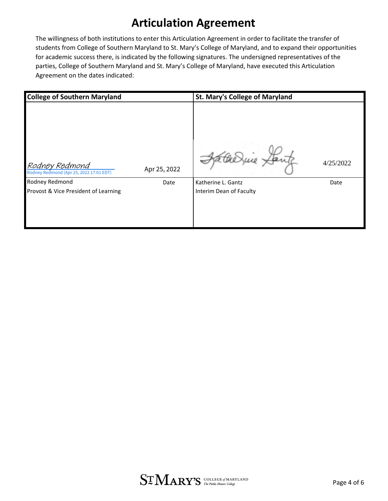The willingness of both institutions to enter this Articulation Agreement in order to facilitate the transfer of students from College of Southern Maryland to St. Mary's College of Maryland, and to expand their opportunities for academic success there, is indicated by the following signatures. The undersigned representatives of the parties, College of Southern Maryland and St. Mary's College of Maryland, have executed this Articulation Agreement on the dates indicated:

| <b>College of Southern Maryland</b>                       |              | <b>St. Mary's College of Maryland</b>         |           |
|-----------------------------------------------------------|--------------|-----------------------------------------------|-----------|
| Rodney Redmond<br>Rodney Redmond (Apr 25, 2022 17:01 EDT) | Apr 25, 2022 |                                               | 4/25/2022 |
| Rodney Redmond<br>Provost & Vice President of Learning    | Date         | Katherine L. Gantz<br>Interim Dean of Faculty | Date      |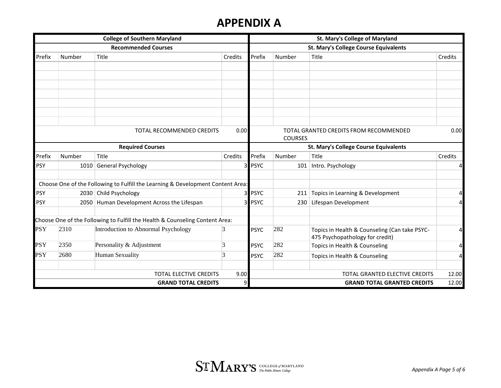### **APPENDIX A**

| <b>College of Southern Maryland</b><br><b>Recommended Courses</b> |        |                                                                                 |                | St. Mary's College of Maryland               |                |                                                                                  |         |  |
|-------------------------------------------------------------------|--------|---------------------------------------------------------------------------------|----------------|----------------------------------------------|----------------|----------------------------------------------------------------------------------|---------|--|
|                                                                   |        |                                                                                 |                | <b>St. Mary's College Course Equivalents</b> |                |                                                                                  |         |  |
| Prefix                                                            | Number | Title                                                                           | Credits        | Prefix                                       | Number         | Title                                                                            | Credits |  |
|                                                                   |        |                                                                                 |                |                                              |                |                                                                                  |         |  |
|                                                                   |        |                                                                                 |                |                                              |                |                                                                                  |         |  |
|                                                                   |        |                                                                                 |                |                                              |                |                                                                                  |         |  |
|                                                                   |        |                                                                                 |                |                                              |                |                                                                                  |         |  |
|                                                                   |        |                                                                                 |                |                                              |                |                                                                                  |         |  |
|                                                                   |        |                                                                                 |                |                                              |                |                                                                                  |         |  |
|                                                                   |        |                                                                                 |                |                                              |                |                                                                                  |         |  |
|                                                                   |        | TOTAL RECOMMENDED CREDITS                                                       | 0.00           |                                              | <b>COURSES</b> | TOTAL GRANTED CREDITS FROM RECOMMENDED                                           | 0.00    |  |
|                                                                   |        | <b>Required Courses</b>                                                         |                |                                              |                | <b>St. Mary's College Course Equivalents</b>                                     |         |  |
| Prefix                                                            | Number | Title                                                                           | Credits        | Prefix                                       | Number         | Title                                                                            | Credits |  |
| <b>PSY</b>                                                        |        | 1010 General Psychology                                                         | 3              | <b>PSYC</b>                                  | 101            | Intro. Psychology                                                                | 4       |  |
|                                                                   |        | Choose One of the Following to Fulfill the Learning & Development Content Area: |                |                                              |                |                                                                                  |         |  |
| <b>PSY</b>                                                        |        | 2030 Child Psychology                                                           | 3 <sup>l</sup> | <b>PSYC</b>                                  |                | 211 Topics in Learning & Development                                             | 4       |  |
| <b>PSY</b>                                                        |        | 2050 Human Development Across the Lifespan                                      | 31             | <b>PSYC</b>                                  | 230            | Lifespan Development                                                             | 4       |  |
|                                                                   |        | Choose One of the Following to Fulfill the Health & Counseling Content Area:    |                |                                              |                |                                                                                  |         |  |
| <b>PSY</b>                                                        | 2310   | Introduction to Abnormal Psychology                                             | 3              | <b>PSYC</b>                                  | 282            | Topics in Health & Counseling (Can take PSYC-<br>475 Psychopathology for credit) | 4       |  |
| PSY                                                               | 2350   | Personality & Adjustment                                                        | 3              | <b>PSYC</b>                                  | 282            | Topics in Health & Counseling                                                    | 4       |  |
| <b>PSY</b>                                                        | 2680   | Human Sexuality                                                                 | 3              | <b>PSYC</b>                                  | 282            | Topics in Health & Counseling                                                    | 4       |  |
|                                                                   |        | <b>TOTAL ELECTIVE CREDITS</b>                                                   | 9.00           |                                              |                | <b>TOTAL GRANTED ELECTIVE CREDITS</b>                                            | 12.00   |  |
|                                                                   |        | <b>GRAND TOTAL CREDITS</b>                                                      | 9              |                                              |                | <b>GRAND TOTAL GRANTED CREDITS</b>                                               | 12.00   |  |

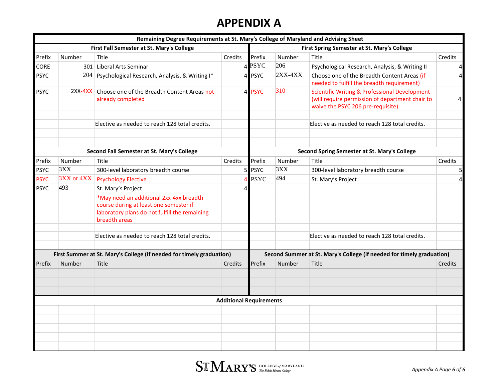### **APPENDIX A**

|                                                                      |            | Remaining Degree Requirements at St. Mary's College of Maryland and Advising Sheet                                                                  |                                                                       |             |           |                                                                                                                                                  |                |
|----------------------------------------------------------------------|------------|-----------------------------------------------------------------------------------------------------------------------------------------------------|-----------------------------------------------------------------------|-------------|-----------|--------------------------------------------------------------------------------------------------------------------------------------------------|----------------|
|                                                                      |            | First Fall Semester at St. Mary's College                                                                                                           |                                                                       |             |           | First Spring Semester at St. Mary's College                                                                                                      |                |
| Prefix                                                               | Number     | Title                                                                                                                                               | Credits                                                               | Prefix      | Number    | Title                                                                                                                                            | Credits        |
| CORE                                                                 |            | 301 Liberal Arts Seminar                                                                                                                            |                                                                       | 4 PSYC      | 206       | Psychological Research, Analysis, & Writing II                                                                                                   | $\overline{a}$ |
| <b>PSYC</b>                                                          | 204        | Psychological Research, Analysis, & Writing I*                                                                                                      |                                                                       | 4 PSYC      | $2XX-4XX$ | Choose one of the Breadth Content Areas (if<br>needed to fulfill the breadth requirement)                                                        | $\overline{4}$ |
| <b>PSYC</b>                                                          | $2XX-4XX$  | Choose one of the Breadth Content Areas not<br>already completed                                                                                    |                                                                       | 4 PSYC      | 310       | <b>Scientific Writing &amp; Professional Development</b><br>(will require permission of department chair to<br>waive the PSYC 206 pre-requisite) | 4              |
|                                                                      |            | Elective as needed to reach 128 total credits.                                                                                                      |                                                                       |             |           | Elective as needed to reach 128 total credits.                                                                                                   |                |
| Second Fall Semester at St. Mary's College                           |            |                                                                                                                                                     | Second Spring Semester at St. Mary's College                          |             |           |                                                                                                                                                  |                |
| Prefix                                                               | Number     | Title                                                                                                                                               | Credits                                                               | Prefix      | Number    | Title                                                                                                                                            | Credits        |
| <b>PSYC</b>                                                          | 3XX        | 300-level laboratory breadth course                                                                                                                 | 5 <sub>l</sub>                                                        | <b>PSYC</b> | 3XX       | 300-level laboratory breadth course                                                                                                              | 5 <sub>l</sub> |
| <b>PSYC</b>                                                          | 3XX or 4XX | <b>Psychology Elective</b>                                                                                                                          |                                                                       | <b>PSYC</b> | 494       | St. Mary's Project                                                                                                                               | $\overline{4}$ |
| <b>PSYC</b>                                                          | 493        | St. Mary's Project                                                                                                                                  | $\overline{4}$                                                        |             |           |                                                                                                                                                  |                |
|                                                                      |            | *May need an additional 2xx-4xx breadth<br>course during at least one semester if<br>laboratory plans do not fulfill the remaining<br>breadth areas |                                                                       |             |           |                                                                                                                                                  |                |
|                                                                      |            | Elective as needed to reach 128 total credits.                                                                                                      |                                                                       |             |           | Elective as needed to reach 128 total credits.                                                                                                   |                |
| First Summer at St. Mary's College (if needed for timely graduation) |            |                                                                                                                                                     | Second Summer at St. Mary's College (if needed for timely graduation) |             |           |                                                                                                                                                  |                |
| Prefix                                                               | Number     | Title                                                                                                                                               | Credits                                                               | Prefix      | Number    | Title                                                                                                                                            | Credits        |
|                                                                      |            |                                                                                                                                                     |                                                                       |             |           |                                                                                                                                                  |                |
|                                                                      |            |                                                                                                                                                     | <b>Additional Requirements</b>                                        |             |           |                                                                                                                                                  |                |
|                                                                      |            |                                                                                                                                                     |                                                                       |             |           |                                                                                                                                                  |                |
|                                                                      |            |                                                                                                                                                     |                                                                       |             |           |                                                                                                                                                  |                |
|                                                                      |            |                                                                                                                                                     |                                                                       |             |           |                                                                                                                                                  |                |
|                                                                      |            |                                                                                                                                                     |                                                                       |             |           |                                                                                                                                                  |                |
|                                                                      |            |                                                                                                                                                     |                                                                       |             |           |                                                                                                                                                  |                |